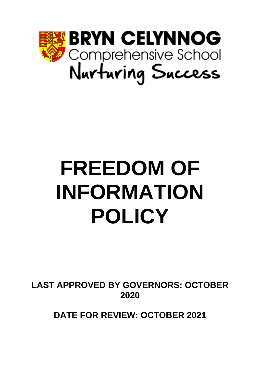

# **FREEDOM OF INFORMATION POLICY**

**LAST APPROVED BY GOVERNORS: OCTOBER 2020**

**DATE FOR REVIEW: OCTOBER 2021**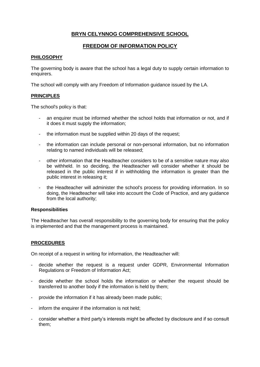# **BRYN CELYNNOG COMPREHENSIVE SCHOOL**

# **FREEDOM OF INFORMATION POLICY**

# **PHILOSOPHY**

The governing body is aware that the school has a legal duty to supply certain information to enquirers.

The school will comply with any Freedom of Information guidance issued by the LA.

## **PRINCIPLES**

The school's policy is that:

- an enquirer must be informed whether the school holds that information or not, and if it does it must supply the information;
- the information must be supplied within 20 days of the request;
- the information can include personal or non-personal information, but no information relating to named individuals will be released;
- other information that the Headteacher considers to be of a sensitive nature may also be withheld. In so deciding, the Headteacher will consider whether it should be released in the public interest if in withholding the information is greater than the public interest in releasing it;
- the Headteacher will administer the school's process for providing information. In so doing, the Headteacher will take into account the Code of Practice, and any guidance from the local authority;

## **Responsibilities**

The Headteacher has overall responsibility to the governing body for ensuring that the policy is implemented and that the management process is maintained.

## **PROCEDURES**

On receipt of a request in writing for information, the Headteacher will:

- decide whether the request is a request under GDPR, Environmental Information Regulations or Freedom of Information Act;
- decide whether the school holds the information or whether the request should be transferred to another body if the information is held by them;
- provide the information if it has already been made public;
- inform the enquirer if the information is not held:
- consider whether a third party's interests might be affected by disclosure and if so consult them;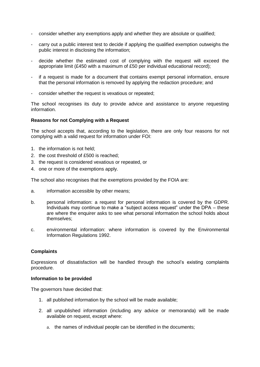- consider whether any exemptions apply and whether they are absolute or qualified;
- carry out a public interest test to decide if applying the qualified exemption outweighs the public interest in disclosing the information;
- decide whether the estimated cost of complying with the request will exceed the appropriate limit (£450 with a maximum of £50 per individual educational record);
- if a request is made for a document that contains exempt personal information, ensure that the personal information is removed by applying the redaction procedure; and
- consider whether the request is vexatious or repeated;

The school recognises its duty to provide advice and assistance to anyone requesting information.

#### **Reasons for not Complying with a Request**

The school accepts that, according to the legislation, there are only four reasons for not complying with a valid request for information under FOI:

- 1. the information is not held;
- 2. the cost threshold of £500 is reached;
- 3. the request is considered vexatious or repeated, or
- 4. one or more of the exemptions apply.

The school also recognises that the exemptions provided by the FOIA are:

- a. information accessible by other means;
- b. personal information: a request for personal information is covered by the GDPR. Individuals may continue to make a "subject access request" under the DPA – these are where the enquirer asks to see what personal information the school holds about themselves;
- c. environmental information: where information is covered by the Environmental Information Regulations 1992.

## **Complaints**

Expressions of dissatisfaction will be handled through the school's existing complaints procedure.

#### **Information to be provided**

The governors have decided that:

- 1. all published information by the school will be made available;
- 2. all unpublished information (including any advice or memoranda) will be made available on request, except where:
	- a. the names of individual people can be identified in the documents;